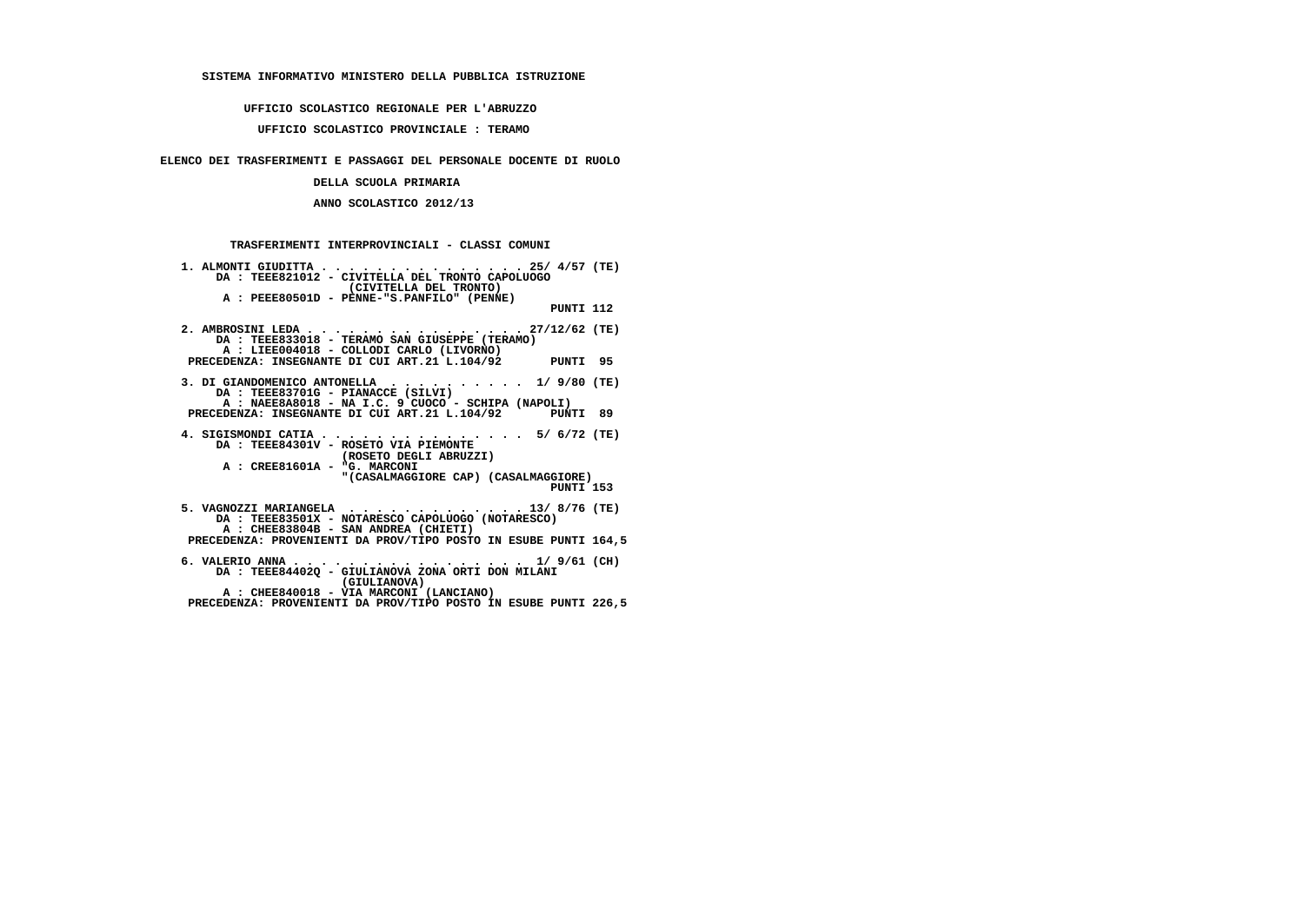## **SISTEMA INFORMATIVO MINISTERO DELLA PUBBLICA ISTRUZIONE**

### **UFFICIO SCOLASTICO REGIONALE PER L'ABRUZZO**

## **UFFICIO SCOLASTICO PROVINCIALE : TERAMO**

# **ELENCO DEI TRASFERIMENTI E PASSAGGI DEL PERSONALE DOCENTE DI RUOLO**

## **DELLA SCUOLA PRIMARIA**

### **ANNO SCOLASTICO 2012/13**

# **TRASFERIMENTI INTERPROVINCIALI - CLASSI COMUNI**

| 1. ALMONTI GIUDITTA 25/ $4/57$ (TE)<br>DA: TEEE821012 - CIVITELLA DEL TRONTO CAPOLUOGO<br>(CIVITELLA DEL TRONTO)                   |
|------------------------------------------------------------------------------------------------------------------------------------|
| A : PEEE80501D - PENNE-"S.PANFILO" (PENNE)<br>PUNTI 112                                                                            |
| 2. AMBROSINI LEDA 27/12/62 (TE)<br>DA : TEEE833018 - TERAMO SAN GIUSEPPE (TERAMO)<br>A : LIEE004018 - COLLODI CARLO (LIVORNO)      |
| PRECEDENZA: INSEGNANTE DI CUI ART.21 L.104/92 PUNTI 95                                                                             |
| 3. DI GIANDOMENICO ANTONELLA 1/ 9/80 (TE)<br>DA : TEEE83701G - PIANACCE (SILVI)                                                    |
| A : NAEE8A8018 - NA I.C. 9 CUOCO - SCHIPA (NAPOLI)<br>PRECEDENZA: INSEGNANTE DI CUI ART.21 L.104/92 PUNTI 89                       |
| 4. SIGISMONDI CATIA 5/ 6/72 (TE)<br>DA: TEEE84301V - ROSETO VIA PIEMONTE<br>(ROSETO DEGLI ABRUZZI)<br>A : CREE81601A - "G. MARCONI |
| " (CASALMAGGIORE CAP) (CASALMAGGIORE)<br>PUNTI 153                                                                                 |
| DA: TEEE83501X - NOTARESCO CAPOLUOGO (NOTARESCO)<br>A : CHEE83804B - SAN ANDREA (CHIETI)                                           |
| PRECEDENZA: PROVENIENTI DA PROV/TIPO POSTO IN ESUBE PUNTI 164,5                                                                    |
| 6. VALERIO ANNA 1/ 9/61 (CH)<br>DA : TEEE84402Q - GIULIANOVA ZONA ORTI DON MILANI<br>(GIULIANOVA)                                  |
| A : CHEE840018 - VIA MARCONI (LANCIANO)<br>PRECEDENZA: PROVENIENTI DA PROV/TIPO POSTO IN ESUBE PUNTI 226,5                         |
|                                                                                                                                    |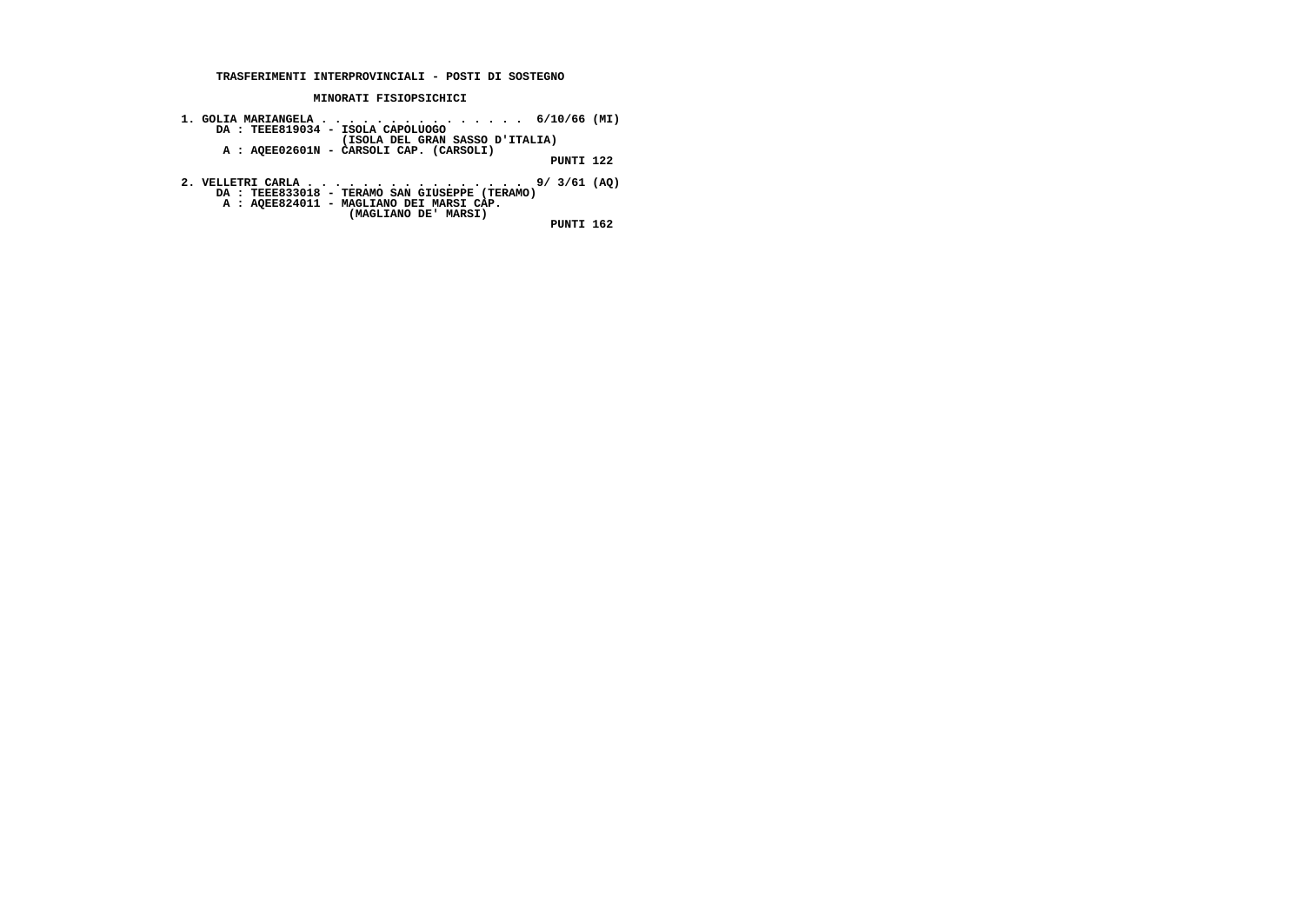#### **TRASFERIMENTI INTERPROVINCIALI - POSTI DI SOSTEGNO**

#### **MINORATI FISIOPSICHICI**

- **1. GOLIA MARIANGELA . . . . . . . . . . . . . . . 6/10/66 (MI) DA : TEEE819034 ISOLA CAPOLUOGO (ISOLA DEL GRAN SASSO D'ITALIA) A : AQEE02601N CARSOLI CAP. (CARSOLI) PUNTI 122**
- **2. VELLETRI CARLA . . . . . . . . . . . . . . . . 9/ 3/61 (AQ) DA : TEEE833018 TERAMO SAN GIUSEPPE (TERAMO)**
	-
- **A : AQEE824011 MAGLIANO DEI MARSI CAP. (MAGLIANO DE' MARSI)**

 **PUNTI 162**